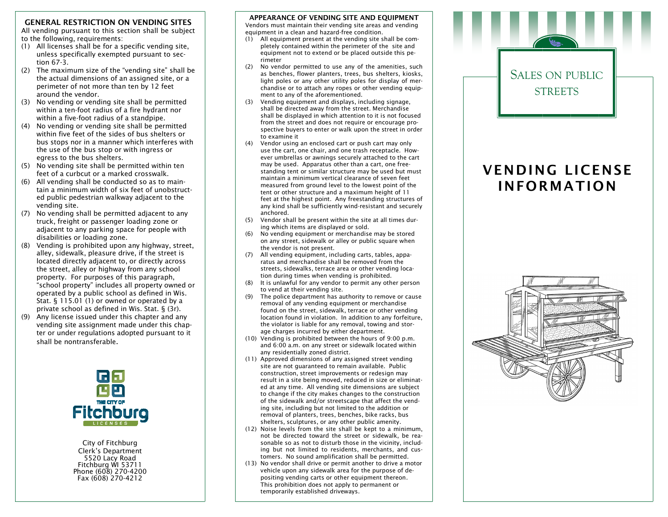### GENERAL RESTRICTION ON VENDING SITES

 All vending pursuant to this section shall be subject to the following, requirements:

- (1) All licenses shall be for a specific vending site, unless specifically exempted pursuant to section 67-3.
- (2) The maximum size of the "vending site" shall be the actual dimensions of an assigned site, or a perimeter of not more than ten by 12 feet around the vendor.
- (3) No vending or vending site shall be permitted within a ten-foot radius of a fire hydrant nor within a five-foot radius of a standpipe.
- (4) No vending or vending site shall be permitted within five feet of the sides of bus shelters or bus stops nor in a manner which interferes with the use of the bus stop or with ingress or egress to the bus shelters.
- (5) No vending site shall be permitted within ten feet of a curbcut or a marked crosswalk.
- (6) All vending shall be conducted so as to maintain a minimum width of six feet of unobstructed public pedestrian walkway adjacent to the vending site.
- (7) No vending shall be permitted adjacent to any truck, freight or passenger loading zone or adjacent to any parking space for people with disabilities or loading zone.
- (8) Vending is prohibited upon any highway, street,alley, sidewalk, pleasure drive, if the street is located directly adjacent to, or directly across the street, alley or highway from any school property. For purposes of this paragraph, "school property" includes all property owned or operated by a public school as defined in Wis. Stat. § 115.01 (1) or owned or operated by a private school as defined in Wis. Stat. § (3r).
- (9) Any license issued under this chapter and any vending site assignment made under this chapter or under regulations adopted pursuant to it shall be nontransferable.



City of Fitchburg Clerk's Department 5520 Lacy Road Fitchburg WI 53711 Phone (608) 270-4200 Fax (608) 270-4212

# APPEARANCE OF VENDING SITE AND EQUIPMENT

 Vendors must maintain their vending site areas and vending equipment in a clean and hazard-free condition.

- (1) All equipment present at the vending site shall be completely contained within the perimeter of the site and equipment not to extend or be placed outside this perimeter
- (2) No vendor permitted to use any of the amenities, such as benches, flower planters, trees, bus shelters, kiosks, light poles or any other utility poles for display of merchandise or to attach any ropes or other vending equipment to any of the aforementioned.
- (3) Vending equipment and displays, including signage, shall be directed away from the street. Merchandise shall be displayed in which attention to it is not focused from the street and does not require or encourage prospective buyers to enter or walk upon the street in order to examine it
- (4) Vendor using an enclosed cart or push cart may only use the cart, one chair, and one trash receptacle. However umbrellas or awnings securely attached to the cart may be used. Apparatus other than a cart, one free standing tent or similar structure may be used but must maintain a minimum vertical clearance of seven feet measured from ground level to the lowest point of the tent or other structure and a maximum height of 11 feet at the highest point. Any freestanding structures of any kind shall be sufficiently wind-resistant and securely anchored.
- (5) Vendor shall be present within the site at all times during which items are displayed or sold.
- (6) No vending equipment or merchandise may be stored on any street, sidewalk or alley or public square when the vendor is not present.
- (7) All vending equipment, including carts, tables, apparatus and merchandise shall be removed from the streets, sidewalks, terrace area or other vending location during times when vending is prohibited.
- (8) It is unlawful for any vendor to permit any other person to vend at their vending site.
- (9) The police department has authority to remove or cause removal of any vending equipment or merchandise found on the street, sidewalk, terrace or other vending location found in violation. In addition to any forfeiture, the violator is liable for any removal, towing and storage charges incurred by either department.
- (10) Vending is prohibited between the hours of 9:00 p.m. and 6:00 a.m. on any street or sidewalk located within any residentially zoned district.
- (11) Approved dimensions of any assigned street vending site are not guaranteed to remain available. Public construction, street improvements or redesign may result in a site being moved, reduced in size or eliminated at any time. All vending site dimensions are subject to change if the city makes changes to the construction of the sidewalk and/or streetscape that affect the vending site, including but not limited to the addition or removal of planters, trees, benches, bike racks, bus shelters, sculptures, or any other public amenity.
- (12) Noise levels from the site shall be kept to a minimum, not be directed toward the street or sidewalk, be reasonable so as not to disturb those in the vicinity, including but not limited to residents, merchants, and customers. No sound amplification shall be permitted.
- (13) No vendor shall drive or permit another to drive a motor vehicle upon any sidewalk area for the purpose of depositing vending carts or other equipment thereon. This prohibition does not apply to permanent or temporarily established driveways.

# SALES ON PUBLIC **STREETS**

# VENDING LICENSE INFORMATION